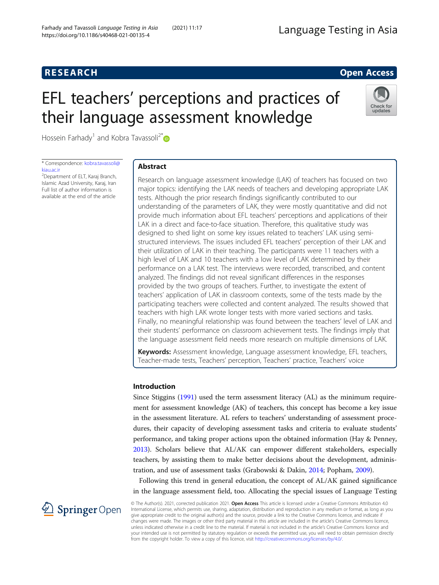# **RESEARCH RESEARCH CONSUMING ACCESS**

# EFL teachers' perceptions and practices of their language assessment knowledge



Hossein Farhady<sup>1</sup> and Kobra Tavassoli<sup>2[\\*](http://orcid.org/0000-0002-8246-8584)</sup>

\* Correspondence: [kobra.tavassoli@](mailto:kobra.tavassoli@kiau.ac.ir) [kiau.ac.ir](mailto:kobra.tavassoli@kiau.ac.ir)

<sup>2</sup>Department of ELT, Karaj Branch, Islamic Azad University, Karaj, Iran Full list of author information is available at the end of the article

# Abstract

Research on language assessment knowledge (LAK) of teachers has focused on two major topics: identifying the LAK needs of teachers and developing appropriate LAK tests. Although the prior research findings significantly contributed to our understanding of the parameters of LAK, they were mostly quantitative and did not provide much information about EFL teachers' perceptions and applications of their LAK in a direct and face-to-face situation. Therefore, this qualitative study was designed to shed light on some key issues related to teachers' LAK using semistructured interviews. The issues included EFL teachers' perception of their LAK and their utilization of LAK in their teaching. The participants were 11 teachers with a high level of LAK and 10 teachers with a low level of LAK determined by their performance on a LAK test. The interviews were recorded, transcribed, and content analyzed. The findings did not reveal significant differences in the responses provided by the two groups of teachers. Further, to investigate the extent of teachers' application of LAK in classroom contexts, some of the tests made by the participating teachers were collected and content analyzed. The results showed that teachers with high LAK wrote longer tests with more varied sections and tasks. Finally, no meaningful relationship was found between the teachers' level of LAK and their students' performance on classroom achievement tests. The findings imply that the language assessment field needs more research on multiple dimensions of LAK.

Keywords: Assessment knowledge, Language assessment knowledge, EFL teachers, Teacher-made tests, Teachers' perception, Teachers' practice, Teachers' voice

# Introduction

Since Stiggins [\(1991\)](#page-18-0) used the term assessment literacy (AL) as the minimum requirement for assessment knowledge (AK) of teachers, this concept has become a key issue in the assessment literature. AL refers to teachers' understanding of assessment procedures, their capacity of developing assessment tasks and criteria to evaluate students' performance, and taking proper actions upon the obtained information (Hay & Penney, [2013](#page-17-0)). Scholars believe that AL/AK can empower different stakeholders, especially teachers, by assisting them to make better decisions about the development, administration, and use of assessment tasks (Grabowski & Dakin, [2014;](#page-17-0) Popham, [2009](#page-18-0)).

Following this trend in general education, the concept of AL/AK gained significance in the language assessment field, too. Allocating the special issues of Language Testing



© The Author(s). 2021, corrected publication 2021. Open Access This article is licensed under a Creative Commons Attribution 4.0 International License, which permits use, sharing, adaptation, distribution and reproduction in any medium or format, as long as you give appropriate credit to the original author(s) and the source, provide a link to the Creative Commons licence, and indicate if changes were made. The images or other third party material in this article are included in the article's Creative Commons licence, unless indicated otherwise in a credit line to the material. If material is not included in the article's Creative Commons licence and your intended use is not permitted by statutory regulation or exceeds the permitted use, you will need to obtain permission directly from the copyright holder. To view a copy of this licence, visit <http://creativecommons.org/licenses/by/4.0/>.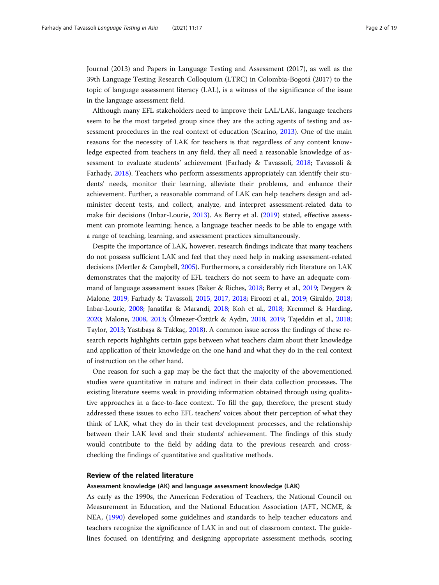Journal (2013) and Papers in Language Testing and Assessment (2017), as well as the 39th Language Testing Research Colloquium (LTRC) in Colombia-Bogotá (2017) to the topic of language assessment literacy (LAL), is a witness of the significance of the issue in the language assessment field.

Although many EFL stakeholders need to improve their LAL/LAK, language teachers seem to be the most targeted group since they are the acting agents of testing and assessment procedures in the real context of education (Scarino, [2013\)](#page-18-0). One of the main reasons for the necessity of LAK for teachers is that regardless of any content knowledge expected from teachers in any field, they all need a reasonable knowledge of assessment to evaluate students' achievement (Farhady & Tavassoli, [2018;](#page-17-0) Tavassoli & Farhady, [2018\)](#page-18-0). Teachers who perform assessments appropriately can identify their students' needs, monitor their learning, alleviate their problems, and enhance their achievement. Further, a reasonable command of LAK can help teachers design and administer decent tests, and collect, analyze, and interpret assessment-related data to make fair decisions (Inbar-Lourie, [2013](#page-17-0)). As Berry et al. ([2019\)](#page-17-0) stated, effective assessment can promote learning; hence, a language teacher needs to be able to engage with a range of teaching, learning, and assessment practices simultaneously.

Despite the importance of LAK, however, research findings indicate that many teachers do not possess sufficient LAK and feel that they need help in making assessment-related decisions (Mertler & Campbell, [2005](#page-17-0)). Furthermore, a considerably rich literature on LAK demonstrates that the majority of EFL teachers do not seem to have an adequate command of language assessment issues (Baker & Riches, [2018](#page-17-0); Berry et al., [2019](#page-17-0); Deygers & Malone, [2019;](#page-17-0) Farhady & Tavassoli, [2015](#page-17-0), [2017,](#page-17-0) [2018;](#page-17-0) Firoozi et al., [2019](#page-17-0); Giraldo, [2018](#page-17-0); Inbar-Lourie, [2008](#page-17-0); Janatifar & Marandi, [2018](#page-17-0); Koh et al., [2018](#page-17-0); Kremmel & Harding, [2020;](#page-17-0) Malone, [2008](#page-17-0), [2013;](#page-17-0) Ölmezer-Öztürk & Aydin, [2018,](#page-18-0) [2019](#page-18-0); Tajeddin et al., [2018](#page-18-0); Taylor, [2013;](#page-18-0) Yastıbaşa & Takkaç, [2018\)](#page-18-0). A common issue across the findings of these research reports highlights certain gaps between what teachers claim about their knowledge and application of their knowledge on the one hand and what they do in the real context of instruction on the other hand.

One reason for such a gap may be the fact that the majority of the abovementioned studies were quantitative in nature and indirect in their data collection processes. The existing literature seems weak in providing information obtained through using qualitative approaches in a face-to-face context. To fill the gap, therefore, the present study addressed these issues to echo EFL teachers' voices about their perception of what they think of LAK, what they do in their test development processes, and the relationship between their LAK level and their students' achievement. The findings of this study would contribute to the field by adding data to the previous research and crosschecking the findings of quantitative and qualitative methods.

#### Review of the related literature

# Assessment knowledge (AK) and language assessment knowledge (LAK)

As early as the 1990s, the American Federation of Teachers, the National Council on Measurement in Education, and the National Education Association (AFT, NCME, & NEA, ([1990\)](#page-17-0) developed some guidelines and standards to help teacher educators and teachers recognize the significance of LAK in and out of classroom context. The guidelines focused on identifying and designing appropriate assessment methods, scoring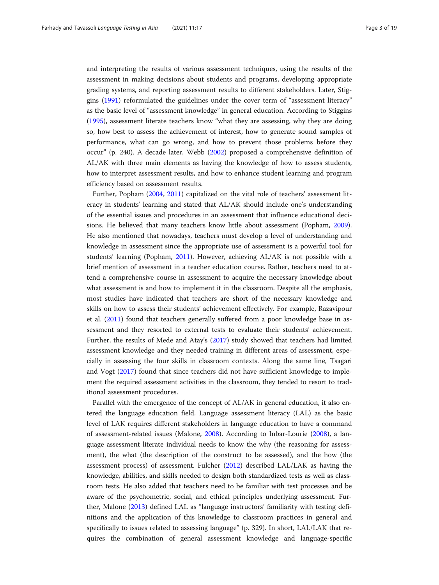and interpreting the results of various assessment techniques, using the results of the assessment in making decisions about students and programs, developing appropriate grading systems, and reporting assessment results to different stakeholders. Later, Stiggins [\(1991\)](#page-18-0) reformulated the guidelines under the cover term of "assessment literacy" as the basic level of "assessment knowledge" in general education. According to Stiggins ([1995](#page-18-0)), assessment literate teachers know "what they are assessing, why they are doing so, how best to assess the achievement of interest, how to generate sound samples of performance, what can go wrong, and how to prevent those problems before they occur" (p. 240). A decade later, Webb ([2002](#page-18-0)) proposed a comprehensive definition of AL/AK with three main elements as having the knowledge of how to assess students, how to interpret assessment results, and how to enhance student learning and program efficiency based on assessment results.

Further, Popham ([2004](#page-18-0), [2011](#page-18-0)) capitalized on the vital role of teachers' assessment literacy in students' learning and stated that AL/AK should include one's understanding of the essential issues and procedures in an assessment that influence educational decisions. He believed that many teachers know little about assessment (Popham, [2009](#page-18-0)). He also mentioned that nowadays, teachers must develop a level of understanding and knowledge in assessment since the appropriate use of assessment is a powerful tool for students' learning (Popham, [2011](#page-18-0)). However, achieving AL/AK is not possible with a brief mention of assessment in a teacher education course. Rather, teachers need to attend a comprehensive course in assessment to acquire the necessary knowledge about what assessment is and how to implement it in the classroom. Despite all the emphasis, most studies have indicated that teachers are short of the necessary knowledge and skills on how to assess their students' achievement effectively. For example, Razavipour et al. ([2011](#page-18-0)) found that teachers generally suffered from a poor knowledge base in assessment and they resorted to external tests to evaluate their students' achievement. Further, the results of Mede and Atay's [\(2017\)](#page-17-0) study showed that teachers had limited assessment knowledge and they needed training in different areas of assessment, especially in assessing the four skills in classroom contexts. Along the same line, Tsagari and Vogt [\(2017](#page-18-0)) found that since teachers did not have sufficient knowledge to implement the required assessment activities in the classroom, they tended to resort to traditional assessment procedures.

Parallel with the emergence of the concept of AL/AK in general education, it also entered the language education field. Language assessment literacy (LAL) as the basic level of LAK requires different stakeholders in language education to have a command of assessment-related issues (Malone, [2008](#page-17-0)). According to Inbar-Lourie [\(2008](#page-17-0)), a language assessment literate individual needs to know the why (the reasoning for assessment), the what (the description of the construct to be assessed), and the how (the assessment process) of assessment. Fulcher [\(2012](#page-17-0)) described LAL/LAK as having the knowledge, abilities, and skills needed to design both standardized tests as well as classroom tests. He also added that teachers need to be familiar with test processes and be aware of the psychometric, social, and ethical principles underlying assessment. Further, Malone [\(2013\)](#page-17-0) defined LAL as "language instructors' familiarity with testing definitions and the application of this knowledge to classroom practices in general and specifically to issues related to assessing language" (p. 329). In short, LAL/LAK that requires the combination of general assessment knowledge and language-specific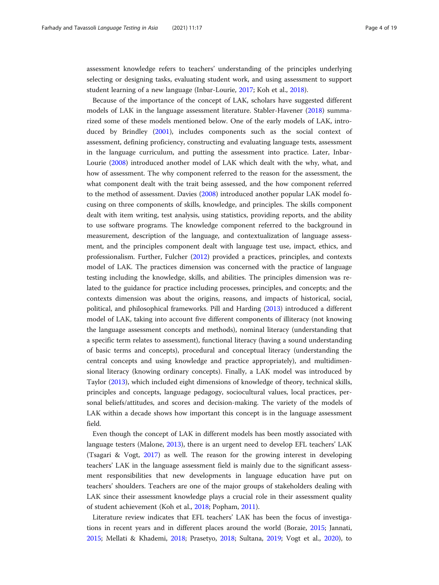assessment knowledge refers to teachers' understanding of the principles underlying selecting or designing tasks, evaluating student work, and using assessment to support student learning of a new language (Inbar-Lourie, [2017;](#page-17-0) Koh et al., [2018](#page-17-0)).

Because of the importance of the concept of LAK, scholars have suggested different models of LAK in the language assessment literature. Stabler-Havener ([2018](#page-18-0)) summarized some of these models mentioned below. One of the early models of LAK, introduced by Brindley [\(2001](#page-17-0)), includes components such as the social context of assessment, defining proficiency, constructing and evaluating language tests, assessment in the language curriculum, and putting the assessment into practice. Later, Inbar-Lourie [\(2008\)](#page-17-0) introduced another model of LAK which dealt with the why, what, and how of assessment. The why component referred to the reason for the assessment, the what component dealt with the trait being assessed, and the how component referred to the method of assessment. Davies [\(2008\)](#page-17-0) introduced another popular LAK model focusing on three components of skills, knowledge, and principles. The skills component dealt with item writing, test analysis, using statistics, providing reports, and the ability to use software programs. The knowledge component referred to the background in measurement, description of the language, and contextualization of language assessment, and the principles component dealt with language test use, impact, ethics, and professionalism. Further, Fulcher ([2012](#page-17-0)) provided a practices, principles, and contexts model of LAK. The practices dimension was concerned with the practice of language testing including the knowledge, skills, and abilities. The principles dimension was related to the guidance for practice including processes, principles, and concepts; and the contexts dimension was about the origins, reasons, and impacts of historical, social, political, and philosophical frameworks. Pill and Harding ([2013\)](#page-18-0) introduced a different model of LAK, taking into account five different components of illiteracy (not knowing the language assessment concepts and methods), nominal literacy (understanding that a specific term relates to assessment), functional literacy (having a sound understanding of basic terms and concepts), procedural and conceptual literacy (understanding the central concepts and using knowledge and practice appropriately), and multidimensional literacy (knowing ordinary concepts). Finally, a LAK model was introduced by Taylor [\(2013](#page-18-0)), which included eight dimensions of knowledge of theory, technical skills, principles and concepts, language pedagogy, sociocultural values, local practices, personal beliefs/attitudes, and scores and decision-making. The variety of the models of LAK within a decade shows how important this concept is in the language assessment field.

Even though the concept of LAK in different models has been mostly associated with language testers (Malone, [2013\)](#page-17-0), there is an urgent need to develop EFL teachers' LAK (Tsagari & Vogt, [2017\)](#page-18-0) as well. The reason for the growing interest in developing teachers' LAK in the language assessment field is mainly due to the significant assessment responsibilities that new developments in language education have put on teachers' shoulders. Teachers are one of the major groups of stakeholders dealing with LAK since their assessment knowledge plays a crucial role in their assessment quality of student achievement (Koh et al., [2018](#page-17-0); Popham, [2011](#page-18-0)).

Literature review indicates that EFL teachers' LAK has been the focus of investigations in recent years and in different places around the world (Boraie, [2015;](#page-17-0) Jannati, [2015](#page-17-0); Mellati & Khademi, [2018](#page-17-0); Prasetyo, [2018;](#page-18-0) Sultana, [2019;](#page-18-0) Vogt et al., [2020\)](#page-18-0), to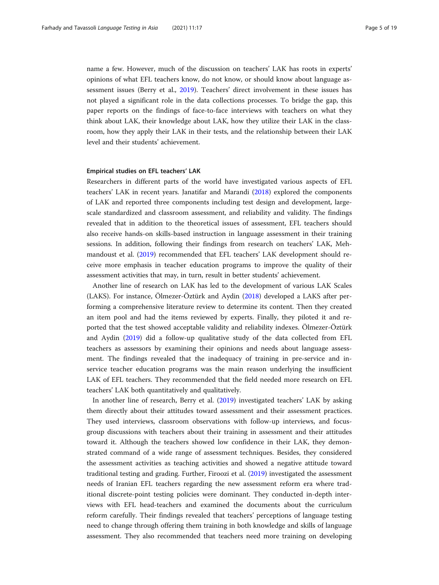name a few. However, much of the discussion on teachers' LAK has roots in experts' opinions of what EFL teachers know, do not know, or should know about language assessment issues (Berry et al., [2019](#page-17-0)). Teachers' direct involvement in these issues has not played a significant role in the data collections processes. To bridge the gap, this paper reports on the findings of face-to-face interviews with teachers on what they think about LAK, their knowledge about LAK, how they utilize their LAK in the classroom, how they apply their LAK in their tests, and the relationship between their LAK level and their students' achievement.

#### Empirical studies on EFL teachers' LAK

Researchers in different parts of the world have investigated various aspects of EFL teachers' LAK in recent years. Janatifar and Marandi [\(2018\)](#page-17-0) explored the components of LAK and reported three components including test design and development, largescale standardized and classroom assessment, and reliability and validity. The findings revealed that in addition to the theoretical issues of assessment, EFL teachers should also receive hands-on skills-based instruction in language assessment in their training sessions. In addition, following their findings from research on teachers' LAK, Mehmandoust et al. ([2019\)](#page-17-0) recommended that EFL teachers' LAK development should receive more emphasis in teacher education programs to improve the quality of their assessment activities that may, in turn, result in better students' achievement.

Another line of research on LAK has led to the development of various LAK Scales (LAKS). For instance, Ölmezer-Öztürk and Aydin ([2018\)](#page-18-0) developed a LAKS after performing a comprehensive literature review to determine its content. Then they created an item pool and had the items reviewed by experts. Finally, they piloted it and reported that the test showed acceptable validity and reliability indexes. Ölmezer-Öztürk and Aydin [\(2019\)](#page-18-0) did a follow-up qualitative study of the data collected from EFL teachers as assessors by examining their opinions and needs about language assessment. The findings revealed that the inadequacy of training in pre-service and inservice teacher education programs was the main reason underlying the insufficient LAK of EFL teachers. They recommended that the field needed more research on EFL teachers' LAK both quantitatively and qualitatively.

In another line of research, Berry et al. ([2019](#page-17-0)) investigated teachers' LAK by asking them directly about their attitudes toward assessment and their assessment practices. They used interviews, classroom observations with follow-up interviews, and focusgroup discussions with teachers about their training in assessment and their attitudes toward it. Although the teachers showed low confidence in their LAK, they demonstrated command of a wide range of assessment techniques. Besides, they considered the assessment activities as teaching activities and showed a negative attitude toward traditional testing and grading. Further, Firoozi et al. ([2019](#page-17-0)) investigated the assessment needs of Iranian EFL teachers regarding the new assessment reform era where traditional discrete-point testing policies were dominant. They conducted in-depth interviews with EFL head-teachers and examined the documents about the curriculum reform carefully. Their findings revealed that teachers' perceptions of language testing need to change through offering them training in both knowledge and skills of language assessment. They also recommended that teachers need more training on developing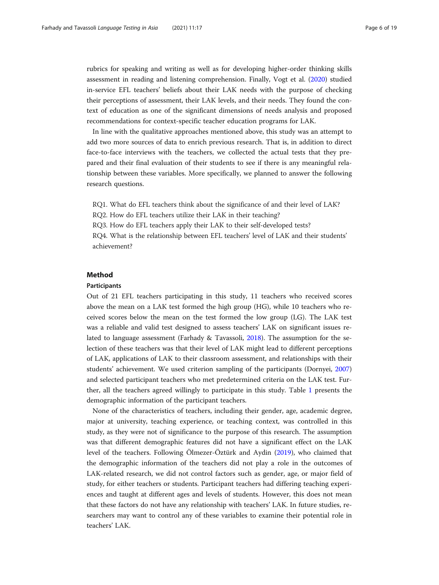rubrics for speaking and writing as well as for developing higher-order thinking skills assessment in reading and listening comprehension. Finally, Vogt et al. [\(2020](#page-18-0)) studied in-service EFL teachers' beliefs about their LAK needs with the purpose of checking their perceptions of assessment, their LAK levels, and their needs. They found the context of education as one of the significant dimensions of needs analysis and proposed recommendations for context-specific teacher education programs for LAK.

In line with the qualitative approaches mentioned above, this study was an attempt to add two more sources of data to enrich previous research. That is, in addition to direct face-to-face interviews with the teachers, we collected the actual tests that they prepared and their final evaluation of their students to see if there is any meaningful relationship between these variables. More specifically, we planned to answer the following research questions.

RQ1. What do EFL teachers think about the significance of and their level of LAK?

RQ2. How do EFL teachers utilize their LAK in their teaching?

RQ3. How do EFL teachers apply their LAK to their self-developed tests?

RQ4. What is the relationship between EFL teachers' level of LAK and their students' achievement?

# Method

#### Participants

Out of 21 EFL teachers participating in this study, 11 teachers who received scores above the mean on a LAK test formed the high group (HG), while 10 teachers who received scores below the mean on the test formed the low group (LG). The LAK test was a reliable and valid test designed to assess teachers' LAK on significant issues related to language assessment (Farhady & Tavassoli, [2018\)](#page-17-0). The assumption for the selection of these teachers was that their level of LAK might lead to different perceptions of LAK, applications of LAK to their classroom assessment, and relationships with their students' achievement. We used criterion sampling of the participants (Dornyei, [2007](#page-17-0)) and selected participant teachers who met predetermined criteria on the LAK test. Further, all the teachers agreed willingly to participate in this study. Table [1](#page-6-0) presents the demographic information of the participant teachers.

None of the characteristics of teachers, including their gender, age, academic degree, major at university, teaching experience, or teaching context, was controlled in this study, as they were not of significance to the purpose of this research. The assumption was that different demographic features did not have a significant effect on the LAK level of the teachers. Following Ölmezer-Öztürk and Aydin [\(2019](#page-18-0)), who claimed that the demographic information of the teachers did not play a role in the outcomes of LAK-related research, we did not control factors such as gender, age, or major field of study, for either teachers or students. Participant teachers had differing teaching experiences and taught at different ages and levels of students. However, this does not mean that these factors do not have any relationship with teachers' LAK. In future studies, researchers may want to control any of these variables to examine their potential role in teachers' LAK.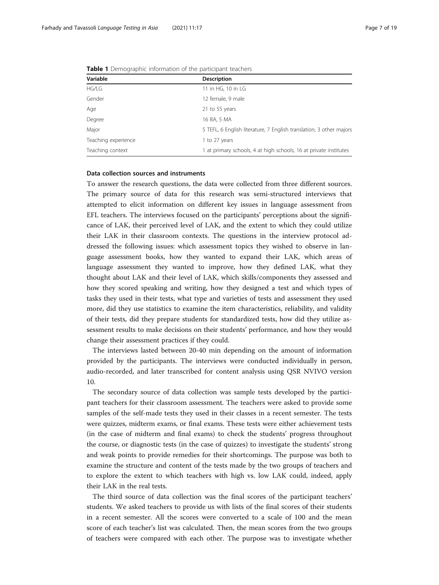| Variable            | <b>Description</b>                                                  |  |  |
|---------------------|---------------------------------------------------------------------|--|--|
| HG/LG               | 11 in HG, 10 in LG                                                  |  |  |
| Gender              | 12 female, 9 male                                                   |  |  |
| Age                 | 21 to 55 years                                                      |  |  |
| Degree              | 16 BA, 5 MA                                                         |  |  |
| Major               | 5 TEFL, 6 English literature, 7 English translation, 3 other majors |  |  |
| Teaching experience | 1 to 27 years                                                       |  |  |
| Teaching context    | 1 at primary schools, 4 at high schools, 16 at private institutes   |  |  |

<span id="page-6-0"></span>Table 1 Demographic information of the participant teachers

#### Data collection sources and instruments

To answer the research questions, the data were collected from three different sources. The primary source of data for this research was semi-structured interviews that attempted to elicit information on different key issues in language assessment from EFL teachers. The interviews focused on the participants' perceptions about the significance of LAK, their perceived level of LAK, and the extent to which they could utilize their LAK in their classroom contexts. The questions in the interview protocol addressed the following issues: which assessment topics they wished to observe in language assessment books, how they wanted to expand their LAK, which areas of language assessment they wanted to improve, how they defined LAK, what they thought about LAK and their level of LAK, which skills/components they assessed and how they scored speaking and writing, how they designed a test and which types of tasks they used in their tests, what type and varieties of tests and assessment they used more, did they use statistics to examine the item characteristics, reliability, and validity of their tests, did they prepare students for standardized tests, how did they utilize assessment results to make decisions on their students' performance, and how they would change their assessment practices if they could.

The interviews lasted between 20-40 min depending on the amount of information provided by the participants. The interviews were conducted individually in person, audio-recorded, and later transcribed for content analysis using QSR NVIVO version 10.

The secondary source of data collection was sample tests developed by the participant teachers for their classroom assessment. The teachers were asked to provide some samples of the self-made tests they used in their classes in a recent semester. The tests were quizzes, midterm exams, or final exams. These tests were either achievement tests (in the case of midterm and final exams) to check the students' progress throughout the course, or diagnostic tests (in the case of quizzes) to investigate the students' strong and weak points to provide remedies for their shortcomings. The purpose was both to examine the structure and content of the tests made by the two groups of teachers and to explore the extent to which teachers with high vs. low LAK could, indeed, apply their LAK in the real tests.

The third source of data collection was the final scores of the participant teachers' students. We asked teachers to provide us with lists of the final scores of their students in a recent semester. All the scores were converted to a scale of 100 and the mean score of each teacher's list was calculated. Then, the mean scores from the two groups of teachers were compared with each other. The purpose was to investigate whether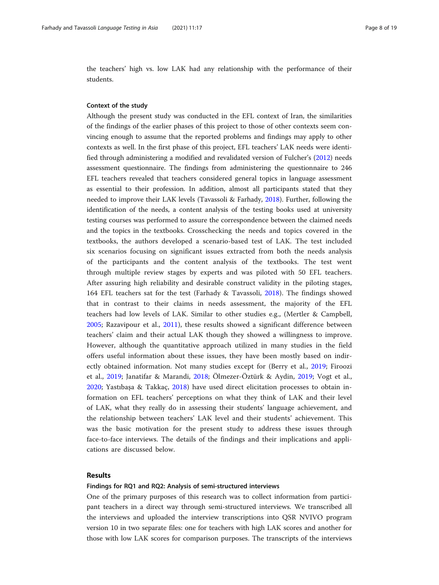the teachers' high vs. low LAK had any relationship with the performance of their students.

#### Context of the study

Although the present study was conducted in the EFL context of Iran, the similarities of the findings of the earlier phases of this project to those of other contexts seem convincing enough to assume that the reported problems and findings may apply to other contexts as well. In the first phase of this project, EFL teachers' LAK needs were identified through administering a modified and revalidated version of Fulcher's ([2012](#page-17-0)) needs assessment questionnaire. The findings from administering the questionnaire to 246 EFL teachers revealed that teachers considered general topics in language assessment as essential to their profession. In addition, almost all participants stated that they needed to improve their LAK levels (Tavassoli & Farhady, [2018](#page-18-0)). Further, following the identification of the needs, a content analysis of the testing books used at university testing courses was performed to assure the correspondence between the claimed needs and the topics in the textbooks. Crosschecking the needs and topics covered in the textbooks, the authors developed a scenario-based test of LAK. The test included six scenarios focusing on significant issues extracted from both the needs analysis of the participants and the content analysis of the textbooks. The test went through multiple review stages by experts and was piloted with 50 EFL teachers. After assuring high reliability and desirable construct validity in the piloting stages, 164 EFL teachers sat for the test (Farhady & Tavassoli, [2018](#page-17-0)). The findings showed that in contrast to their claims in needs assessment, the majority of the EFL teachers had low levels of LAK. Similar to other studies e.g., (Mertler & Campbell, [2005;](#page-17-0) Razavipour et al., [2011\)](#page-18-0), these results showed a significant difference between teachers' claim and their actual LAK though they showed a willingness to improve. However, although the quantitative approach utilized in many studies in the field offers useful information about these issues, they have been mostly based on indirectly obtained information. Not many studies except for (Berry et al., [2019](#page-17-0); Firoozi et al., [2019;](#page-17-0) Janatifar & Marandi, [2018;](#page-17-0) Ölmezer-Öztürk & Aydin, [2019](#page-18-0); Vogt et al., [2020;](#page-18-0) Yastıbaşa & Takkaç, [2018\)](#page-18-0) have used direct elicitation processes to obtain information on EFL teachers' perceptions on what they think of LAK and their level of LAK, what they really do in assessing their students' language achievement, and the relationship between teachers' LAK level and their students' achievement. This was the basic motivation for the present study to address these issues through face-to-face interviews. The details of the findings and their implications and applications are discussed below.

#### Results

#### Findings for RQ1 and RQ2: Analysis of semi-structured interviews

One of the primary purposes of this research was to collect information from participant teachers in a direct way through semi-structured interviews. We transcribed all the interviews and uploaded the interview transcriptions into QSR NVIVO program version 10 in two separate files: one for teachers with high LAK scores and another for those with low LAK scores for comparison purposes. The transcripts of the interviews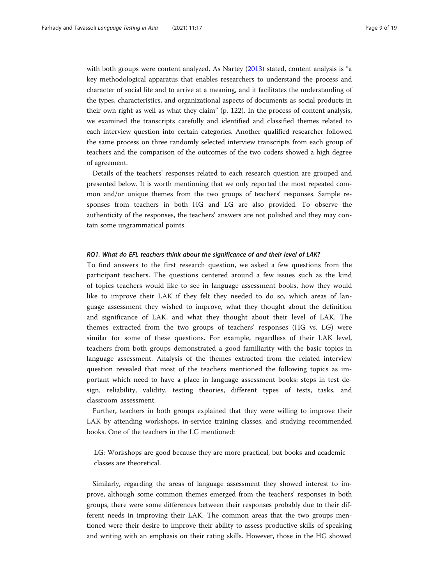with both groups were content analyzed. As Nartey [\(2013\)](#page-18-0) stated, content analysis is "a key methodological apparatus that enables researchers to understand the process and character of social life and to arrive at a meaning, and it facilitates the understanding of the types, characteristics, and organizational aspects of documents as social products in their own right as well as what they claim" (p. 122). In the process of content analysis, we examined the transcripts carefully and identified and classified themes related to each interview question into certain categories. Another qualified researcher followed the same process on three randomly selected interview transcripts from each group of teachers and the comparison of the outcomes of the two coders showed a high degree of agreement.

Details of the teachers' responses related to each research question are grouped and presented below. It is worth mentioning that we only reported the most repeated common and/or unique themes from the two groups of teachers' responses. Sample responses from teachers in both HG and LG are also provided. To observe the authenticity of the responses, the teachers' answers are not polished and they may contain some ungrammatical points.

#### RQ1. What do EFL teachers think about the significance of and their level of LAK?

To find answers to the first research question, we asked a few questions from the participant teachers. The questions centered around a few issues such as the kind of topics teachers would like to see in language assessment books, how they would like to improve their LAK if they felt they needed to do so, which areas of language assessment they wished to improve, what they thought about the definition and significance of LAK, and what they thought about their level of LAK. The themes extracted from the two groups of teachers' responses (HG vs. LG) were similar for some of these questions. For example, regardless of their LAK level, teachers from both groups demonstrated a good familiarity with the basic topics in language assessment. Analysis of the themes extracted from the related interview question revealed that most of the teachers mentioned the following topics as important which need to have a place in language assessment books: steps in test design, reliability, validity, testing theories, different types of tests, tasks, and classroom assessment.

Further, teachers in both groups explained that they were willing to improve their LAK by attending workshops, in-service training classes, and studying recommended books. One of the teachers in the LG mentioned:

LG: Workshops are good because they are more practical, but books and academic classes are theoretical.

Similarly, regarding the areas of language assessment they showed interest to improve, although some common themes emerged from the teachers' responses in both groups, there were some differences between their responses probably due to their different needs in improving their LAK. The common areas that the two groups mentioned were their desire to improve their ability to assess productive skills of speaking and writing with an emphasis on their rating skills. However, those in the HG showed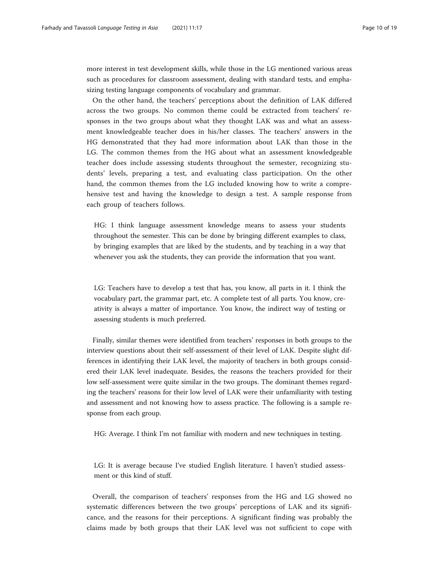more interest in test development skills, while those in the LG mentioned various areas such as procedures for classroom assessment, dealing with standard tests, and emphasizing testing language components of vocabulary and grammar.

On the other hand, the teachers' perceptions about the definition of LAK differed across the two groups. No common theme could be extracted from teachers' responses in the two groups about what they thought LAK was and what an assessment knowledgeable teacher does in his/her classes. The teachers' answers in the HG demonstrated that they had more information about LAK than those in the LG. The common themes from the HG about what an assessment knowledgeable teacher does include assessing students throughout the semester, recognizing students' levels, preparing a test, and evaluating class participation. On the other hand, the common themes from the LG included knowing how to write a comprehensive test and having the knowledge to design a test. A sample response from each group of teachers follows.

HG: I think language assessment knowledge means to assess your students throughout the semester. This can be done by bringing different examples to class, by bringing examples that are liked by the students, and by teaching in a way that whenever you ask the students, they can provide the information that you want.

LG: Teachers have to develop a test that has, you know, all parts in it. I think the vocabulary part, the grammar part, etc. A complete test of all parts. You know, creativity is always a matter of importance. You know, the indirect way of testing or assessing students is much preferred.

Finally, similar themes were identified from teachers' responses in both groups to the interview questions about their self-assessment of their level of LAK. Despite slight differences in identifying their LAK level, the majority of teachers in both groups considered their LAK level inadequate. Besides, the reasons the teachers provided for their low self-assessment were quite similar in the two groups. The dominant themes regarding the teachers' reasons for their low level of LAK were their unfamiliarity with testing and assessment and not knowing how to assess practice. The following is a sample response from each group.

HG: Average. I think I'm not familiar with modern and new techniques in testing.

LG: It is average because I've studied English literature. I haven't studied assessment or this kind of stuff.

Overall, the comparison of teachers' responses from the HG and LG showed no systematic differences between the two groups' perceptions of LAK and its significance, and the reasons for their perceptions. A significant finding was probably the claims made by both groups that their LAK level was not sufficient to cope with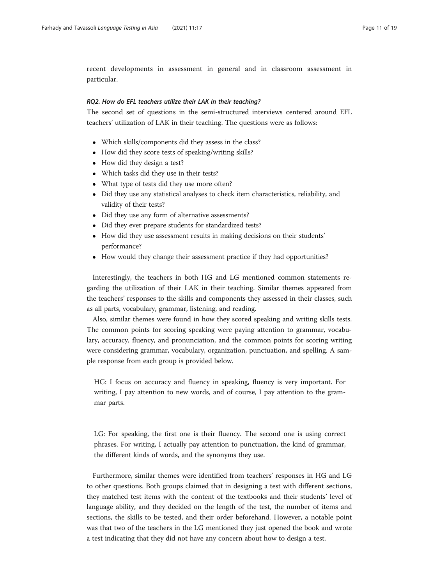recent developments in assessment in general and in classroom assessment in particular.

# RQ2. How do EFL teachers utilize their LAK in their teaching?

The second set of questions in the semi-structured interviews centered around EFL teachers' utilization of LAK in their teaching. The questions were as follows:

- Which skills/components did they assess in the class?
- How did they score tests of speaking/writing skills?
- How did they design a test?
- Which tasks did they use in their tests?
- What type of tests did they use more often?
- Did they use any statistical analyses to check item characteristics, reliability, and validity of their tests?
- Did they use any form of alternative assessments?
- Did they ever prepare students for standardized tests?
- How did they use assessment results in making decisions on their students' performance?
- How would they change their assessment practice if they had opportunities?

Interestingly, the teachers in both HG and LG mentioned common statements regarding the utilization of their LAK in their teaching. Similar themes appeared from the teachers' responses to the skills and components they assessed in their classes, such as all parts, vocabulary, grammar, listening, and reading.

Also, similar themes were found in how they scored speaking and writing skills tests. The common points for scoring speaking were paying attention to grammar, vocabulary, accuracy, fluency, and pronunciation, and the common points for scoring writing were considering grammar, vocabulary, organization, punctuation, and spelling. A sample response from each group is provided below.

HG: I focus on accuracy and fluency in speaking, fluency is very important. For writing, I pay attention to new words, and of course, I pay attention to the grammar parts.

LG: For speaking, the first one is their fluency. The second one is using correct phrases. For writing, I actually pay attention to punctuation, the kind of grammar, the different kinds of words, and the synonyms they use.

Furthermore, similar themes were identified from teachers' responses in HG and LG to other questions. Both groups claimed that in designing a test with different sections, they matched test items with the content of the textbooks and their students' level of language ability, and they decided on the length of the test, the number of items and sections, the skills to be tested, and their order beforehand. However, a notable point was that two of the teachers in the LG mentioned they just opened the book and wrote a test indicating that they did not have any concern about how to design a test.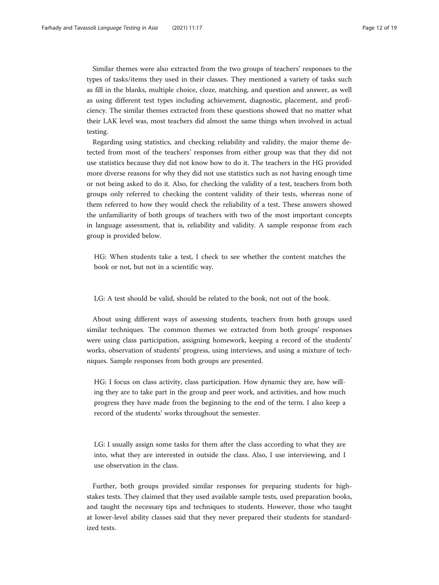Similar themes were also extracted from the two groups of teachers' responses to the types of tasks/items they used in their classes. They mentioned a variety of tasks such as fill in the blanks, multiple choice, cloze, matching, and question and answer, as well as using different test types including achievement, diagnostic, placement, and proficiency. The similar themes extracted from these questions showed that no matter what their LAK level was, most teachers did almost the same things when involved in actual testing.

Regarding using statistics, and checking reliability and validity, the major theme detected from most of the teachers' responses from either group was that they did not use statistics because they did not know how to do it. The teachers in the HG provided more diverse reasons for why they did not use statistics such as not having enough time or not being asked to do it. Also, for checking the validity of a test, teachers from both groups only referred to checking the content validity of their tests, whereas none of them referred to how they would check the reliability of a test. These answers showed the unfamiliarity of both groups of teachers with two of the most important concepts in language assessment, that is, reliability and validity. A sample response from each group is provided below.

HG: When students take a test, I check to see whether the content matches the book or not, but not in a scientific way.

LG: A test should be valid, should be related to the book, not out of the book.

About using different ways of assessing students, teachers from both groups used similar techniques. The common themes we extracted from both groups' responses were using class participation, assigning homework, keeping a record of the students' works, observation of students' progress, using interviews, and using a mixture of techniques. Sample responses from both groups are presented.

HG: I focus on class activity, class participation. How dynamic they are, how willing they are to take part in the group and peer work, and activities, and how much progress they have made from the beginning to the end of the term. I also keep a record of the students' works throughout the semester.

LG: I usually assign some tasks for them after the class according to what they are into, what they are interested in outside the class. Also, I use interviewing, and I use observation in the class.

Further, both groups provided similar responses for preparing students for highstakes tests. They claimed that they used available sample tests, used preparation books, and taught the necessary tips and techniques to students. However, those who taught at lower-level ability classes said that they never prepared their students for standardized tests.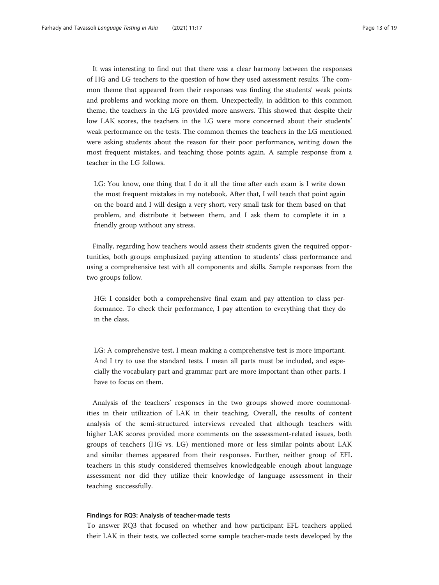It was interesting to find out that there was a clear harmony between the responses of HG and LG teachers to the question of how they used assessment results. The common theme that appeared from their responses was finding the students' weak points and problems and working more on them. Unexpectedly, in addition to this common theme, the teachers in the LG provided more answers. This showed that despite their low LAK scores, the teachers in the LG were more concerned about their students' weak performance on the tests. The common themes the teachers in the LG mentioned were asking students about the reason for their poor performance, writing down the most frequent mistakes, and teaching those points again. A sample response from a teacher in the LG follows.

LG: You know, one thing that I do it all the time after each exam is I write down the most frequent mistakes in my notebook. After that, I will teach that point again on the board and I will design a very short, very small task for them based on that problem, and distribute it between them, and I ask them to complete it in a friendly group without any stress.

Finally, regarding how teachers would assess their students given the required opportunities, both groups emphasized paying attention to students' class performance and using a comprehensive test with all components and skills. Sample responses from the two groups follow.

HG: I consider both a comprehensive final exam and pay attention to class performance. To check their performance, I pay attention to everything that they do in the class.

LG: A comprehensive test, I mean making a comprehensive test is more important. And I try to use the standard tests. I mean all parts must be included, and especially the vocabulary part and grammar part are more important than other parts. I have to focus on them.

Analysis of the teachers' responses in the two groups showed more commonalities in their utilization of LAK in their teaching. Overall, the results of content analysis of the semi-structured interviews revealed that although teachers with higher LAK scores provided more comments on the assessment-related issues, both groups of teachers (HG vs. LG) mentioned more or less similar points about LAK and similar themes appeared from their responses. Further, neither group of EFL teachers in this study considered themselves knowledgeable enough about language assessment nor did they utilize their knowledge of language assessment in their teaching successfully.

# Findings for RQ3: Analysis of teacher-made tests

To answer RQ3 that focused on whether and how participant EFL teachers applied their LAK in their tests, we collected some sample teacher-made tests developed by the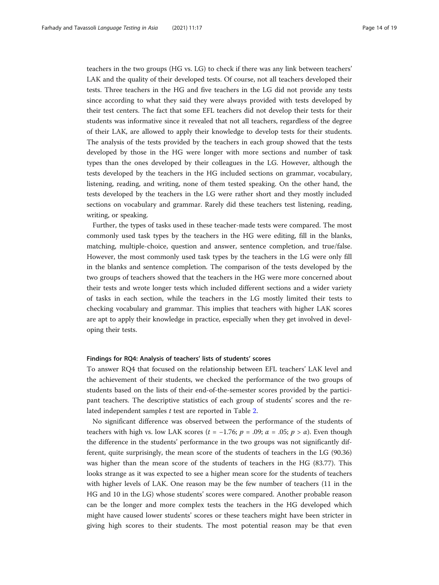teachers in the two groups (HG vs. LG) to check if there was any link between teachers' LAK and the quality of their developed tests. Of course, not all teachers developed their tests. Three teachers in the HG and five teachers in the LG did not provide any tests since according to what they said they were always provided with tests developed by their test centers. The fact that some EFL teachers did not develop their tests for their students was informative since it revealed that not all teachers, regardless of the degree of their LAK, are allowed to apply their knowledge to develop tests for their students. The analysis of the tests provided by the teachers in each group showed that the tests developed by those in the HG were longer with more sections and number of task types than the ones developed by their colleagues in the LG. However, although the tests developed by the teachers in the HG included sections on grammar, vocabulary, listening, reading, and writing, none of them tested speaking. On the other hand, the tests developed by the teachers in the LG were rather short and they mostly included sections on vocabulary and grammar. Rarely did these teachers test listening, reading, writing, or speaking.

Further, the types of tasks used in these teacher-made tests were compared. The most commonly used task types by the teachers in the HG were editing, fill in the blanks, matching, multiple-choice, question and answer, sentence completion, and true/false. However, the most commonly used task types by the teachers in the LG were only fill in the blanks and sentence completion. The comparison of the tests developed by the two groups of teachers showed that the teachers in the HG were more concerned about their tests and wrote longer tests which included different sections and a wider variety of tasks in each section, while the teachers in the LG mostly limited their tests to checking vocabulary and grammar. This implies that teachers with higher LAK scores are apt to apply their knowledge in practice, especially when they get involved in developing their tests.

#### Findings for RQ4: Analysis of teachers' lists of students' scores

To answer RQ4 that focused on the relationship between EFL teachers' LAK level and the achievement of their students, we checked the performance of the two groups of students based on the lists of their end-of-the-semester scores provided by the participant teachers. The descriptive statistics of each group of students' scores and the re-lated independent samples t test are reported in Table [2.](#page-14-0)

No significant difference was observed between the performance of the students of teachers with high vs. low LAK scores ( $t = -1.76$ ;  $p = .09$ ;  $\alpha = .05$ ;  $p > \alpha$ ). Even though the difference in the students' performance in the two groups was not significantly different, quite surprisingly, the mean score of the students of teachers in the LG (90.36) was higher than the mean score of the students of teachers in the HG (83.77). This looks strange as it was expected to see a higher mean score for the students of teachers with higher levels of LAK. One reason may be the few number of teachers (11 in the HG and 10 in the LG) whose students' scores were compared. Another probable reason can be the longer and more complex tests the teachers in the HG developed which might have caused lower students' scores or these teachers might have been stricter in giving high scores to their students. The most potential reason may be that even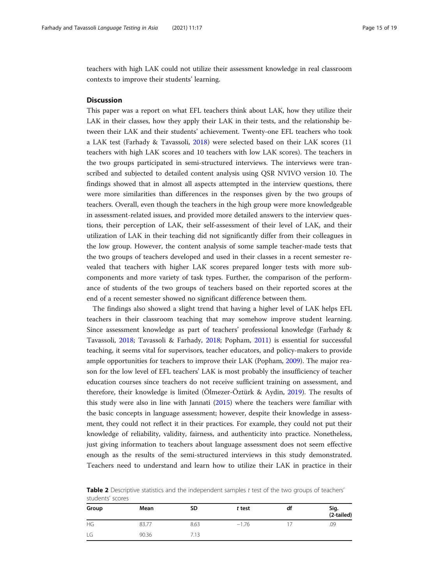<span id="page-14-0"></span>teachers with high LAK could not utilize their assessment knowledge in real classroom contexts to improve their students' learning.

# **Discussion**

This paper was a report on what EFL teachers think about LAK, how they utilize their LAK in their classes, how they apply their LAK in their tests, and the relationship between their LAK and their students' achievement. Twenty-one EFL teachers who took a LAK test (Farhady & Tavassoli, [2018\)](#page-17-0) were selected based on their LAK scores (11 teachers with high LAK scores and 10 teachers with low LAK scores). The teachers in the two groups participated in semi-structured interviews. The interviews were transcribed and subjected to detailed content analysis using QSR NVIVO version 10. The findings showed that in almost all aspects attempted in the interview questions, there were more similarities than differences in the responses given by the two groups of teachers. Overall, even though the teachers in the high group were more knowledgeable in assessment-related issues, and provided more detailed answers to the interview questions, their perception of LAK, their self-assessment of their level of LAK, and their utilization of LAK in their teaching did not significantly differ from their colleagues in the low group. However, the content analysis of some sample teacher-made tests that the two groups of teachers developed and used in their classes in a recent semester revealed that teachers with higher LAK scores prepared longer tests with more subcomponents and more variety of task types. Further, the comparison of the performance of students of the two groups of teachers based on their reported scores at the end of a recent semester showed no significant difference between them.

The findings also showed a slight trend that having a higher level of LAK helps EFL teachers in their classroom teaching that may somehow improve student learning. Since assessment knowledge as part of teachers' professional knowledge (Farhady & Tavassoli, [2018](#page-17-0); Tavassoli & Farhady, [2018;](#page-18-0) Popham, [2011\)](#page-18-0) is essential for successful teaching, it seems vital for supervisors, teacher educators, and policy-makers to provide ample opportunities for teachers to improve their LAK (Popham, [2009](#page-18-0)). The major reason for the low level of EFL teachers' LAK is most probably the insufficiency of teacher education courses since teachers do not receive sufficient training on assessment, and therefore, their knowledge is limited (Ölmezer-Öztürk & Aydin, [2019\)](#page-18-0). The results of this study were also in line with Jannati [\(2015](#page-17-0)) where the teachers were familiar with the basic concepts in language assessment; however, despite their knowledge in assessment, they could not reflect it in their practices. For example, they could not put their knowledge of reliability, validity, fairness, and authenticity into practice. Nonetheless, just giving information to teachers about language assessment does not seem effective enough as the results of the semi-structured interviews in this study demonstrated. Teachers need to understand and learn how to utilize their LAK in practice in their

| students scores |       |      |         |    |                    |  |
|-----------------|-------|------|---------|----|--------------------|--|
| Group           | Mean  | SD   | t test  | df | Sig.<br>(2-tailed) |  |
| HG              | 83.77 | 8.63 | $-1.76$ |    | .09                |  |
| LG              | 90.36 | 7.13 |         |    |                    |  |

**Table 2** Descriptive statistics and the independent samples  $t$  test of the two groups of teachers' students' scores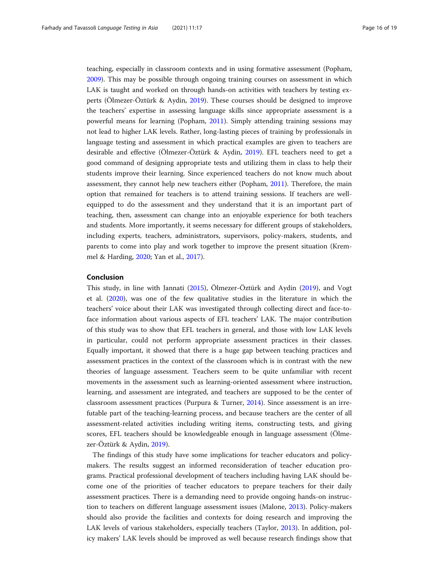teaching, especially in classroom contexts and in using formative assessment (Popham, [2009](#page-18-0)). This may be possible through ongoing training courses on assessment in which LAK is taught and worked on through hands-on activities with teachers by testing experts (Ölmezer-Öztürk & Aydin, [2019](#page-18-0)). These courses should be designed to improve the teachers' expertise in assessing language skills since appropriate assessment is a powerful means for learning (Popham, [2011\)](#page-18-0). Simply attending training sessions may not lead to higher LAK levels. Rather, long-lasting pieces of training by professionals in language testing and assessment in which practical examples are given to teachers are desirable and effective (Ölmezer-Öztürk & Aydin, [2019\)](#page-18-0). EFL teachers need to get a good command of designing appropriate tests and utilizing them in class to help their students improve their learning. Since experienced teachers do not know much about assessment, they cannot help new teachers either (Popham, [2011](#page-18-0)). Therefore, the main option that remained for teachers is to attend training sessions. If teachers are wellequipped to do the assessment and they understand that it is an important part of teaching, then, assessment can change into an enjoyable experience for both teachers and students. More importantly, it seems necessary for different groups of stakeholders, including experts, teachers, administrators, supervisors, policy-makers, students, and parents to come into play and work together to improve the present situation (Kremmel & Harding, [2020](#page-17-0); Yan et al., [2017](#page-18-0)).

# Conclusion

This study, in line with Jannati [\(2015\)](#page-17-0), Ölmezer-Öztürk and Aydin ([2019](#page-18-0)), and Vogt et al. ([2020](#page-18-0)), was one of the few qualitative studies in the literature in which the teachers' voice about their LAK was investigated through collecting direct and face-toface information about various aspects of EFL teachers' LAK. The major contribution of this study was to show that EFL teachers in general, and those with low LAK levels in particular, could not perform appropriate assessment practices in their classes. Equally important, it showed that there is a huge gap between teaching practices and assessment practices in the context of the classroom which is in contrast with the new theories of language assessment. Teachers seem to be quite unfamiliar with recent movements in the assessment such as learning-oriented assessment where instruction, learning, and assessment are integrated, and teachers are supposed to be the center of classroom assessment practices (Purpura & Turner, [2014](#page-18-0)). Since assessment is an irrefutable part of the teaching-learning process, and because teachers are the center of all assessment-related activities including writing items, constructing tests, and giving scores, EFL teachers should be knowledgeable enough in language assessment (Ölmezer-Öztürk & Aydin, [2019\)](#page-18-0).

The findings of this study have some implications for teacher educators and policymakers. The results suggest an informed reconsideration of teacher education programs. Practical professional development of teachers including having LAK should become one of the priorities of teacher educators to prepare teachers for their daily assessment practices. There is a demanding need to provide ongoing hands-on instruction to teachers on different language assessment issues (Malone, [2013](#page-17-0)). Policy-makers should also provide the facilities and contexts for doing research and improving the LAK levels of various stakeholders, especially teachers (Taylor, [2013\)](#page-18-0). In addition, policy makers' LAK levels should be improved as well because research findings show that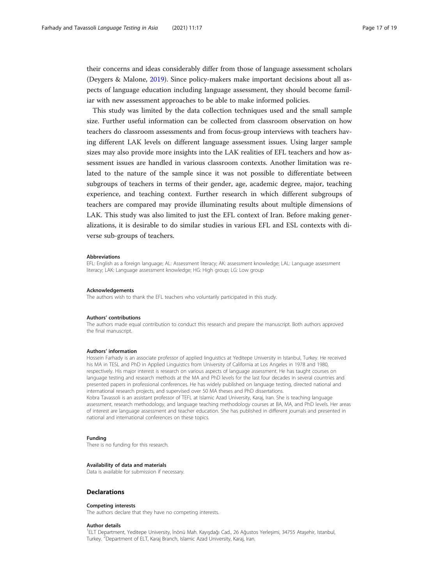their concerns and ideas considerably differ from those of language assessment scholars (Deygers & Malone, [2019\)](#page-17-0). Since policy-makers make important decisions about all aspects of language education including language assessment, they should become familiar with new assessment approaches to be able to make informed policies.

This study was limited by the data collection techniques used and the small sample size. Further useful information can be collected from classroom observation on how teachers do classroom assessments and from focus-group interviews with teachers having different LAK levels on different language assessment issues. Using larger sample sizes may also provide more insights into the LAK realities of EFL teachers and how assessment issues are handled in various classroom contexts. Another limitation was related to the nature of the sample since it was not possible to differentiate between subgroups of teachers in terms of their gender, age, academic degree, major, teaching experience, and teaching context. Further research in which different subgroups of teachers are compared may provide illuminating results about multiple dimensions of LAK. This study was also limited to just the EFL context of Iran. Before making generalizations, it is desirable to do similar studies in various EFL and ESL contexts with diverse sub-groups of teachers.

#### Abbreviations

EFL: English as a foreign language; AL: Assessment literacy; AK: assessment knowledge; LAL: Language assessment literacy; LAK: Language assessment knowledge; HG: High group; LG: Low group

#### Acknowledgements

The authors wish to thank the EFL teachers who voluntarily participated in this study.

#### Authors' contributions

The authors made equal contribution to conduct this research and prepare the manuscript. Both authors approved the final manuscript.

#### Authors' information

Hossein Farhady is an associate professor of applied linguistics at Yeditepe University in Istanbul, Turkey. He received his MA in TESL and PhD in Applied Linguistics from University of California at Los Angeles in 1978 and 1980, respectively. His major interest is research on various aspects of language assessment. He has taught courses on language testing and research methods at the MA and PhD levels for the last four decades in several countries and presented papers in professional conferences. He has widely published on language testing, directed national and international research projects, and supervised over 50 MA theses and PhD dissertations. Kobra Tavassoli is an assistant professor of TEFL at Islamic Azad University, Karaj, Iran. She is teaching language assessment, research methodology, and language teaching methodology courses at BA, MA, and PhD levels. Her areas of interest are language assessment and teacher education. She has published in different journals and presented in

#### Funding

There is no funding for this research.

#### Availability of data and materials

Data is available for submission if necessary.

national and international conferences on these topics.

#### **Declarations**

#### Competing interests

The authors declare that they have no competing interests.

#### Author details

1 ELT Department, Yeditepe University, İnönü Mah. Kayışdağı Cad., 26 Ağustos Yerleşimi, 34755 Ataşehir, Istanbul, Turkey. <sup>2</sup> Department of ELT, Karaj Branch, Islamic Azad University, Karaj, Iran.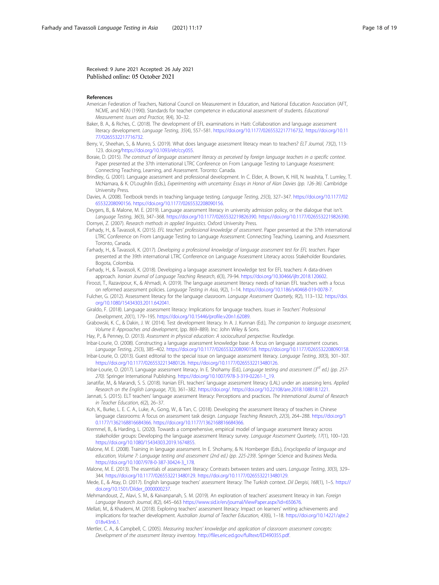<span id="page-17-0"></span>Received: 9 June 2021 Accepted: 26 July 2021 Published online: 05 October 2021

#### References

- American Federation of Teachers, National Council on Measurement in Education, and National Education Association (AFT, NCME, and NEA) (1990). Standards for teacher competence in educational assessment of students. Educational Measurement: Issues and Practice, 9(4), 30–32.
- Baker, B. A., & Riches, C. (2018). The development of EFL examinations in Haiti: Collaboration and language assessment literacy development. Language Testing, 35(4), 557–581. <https://doi.org/10.1177/0265532217716732>. [https://doi.org/10.11](https://doi.org/10.1177/0265532217716732) [77/0265532217716732](https://doi.org/10.1177/0265532217716732).
- Berry, V., Sheehan, S., & Munro, S. (2019). What does language assessment literacy mean to teachers? ELT Journal, 73(2), 113- 123. doi.org/[https://doi.org/10.1093/elt/ccy055.](https://doi.org/10.1093/elt/ccy055)

Boraie, D. (2015). The construct of language assessment literacy as perceived by foreign language teachers in a specific context. Paper presented at the 37th international LTRC Conference on From Language Testing to Language Assessment: Connecting Teaching, Learning, and Assessment. Toronto: Canada.

Brindley, G. (2001). Language assessment and professional development. In C. Elder, A. Brown, K. Hill, N. Iwashita, T. Lumley, T. McNamara, & K. O'Loughlin (Eds.), Experimenting with uncertainty: Essays in Honor of Alan Davies (pp. 126-36). Cambridge University Press.

Davies, A. (2008). Textbook trends in teaching language testing. Language Testing, 25(3), 327–347. [https://doi.org/10.1177/02](https://doi.org/10.1177/0265532208090156) [65532208090156](https://doi.org/10.1177/0265532208090156). [https://doi.org/10.1177/0265532208090156.](https://doi.org/10.1177/0265532208090156)

Deygers, B., & Malone, M. E. (2019). Language assessment literacy in university admission policy, or the dialogue that isn't. Language Testing, 36(3), 347–368. [https://doi.org/10.1177/0265532219826390.](https://doi.org/10.1177/0265532219826390) [https://doi.org/10.1177/0265532219826390.](https://doi.org/10.1177/0265532219826390) Dornyei, Z. (2007). Research methods in applied linguistics. Oxford University Press.

- Farhady, H., & Tavassoli, K. (2015). EFL teachers' professional knowledge of assessment. Paper presented at the 37th international LTRC Conference on From Language Testing to Language Assessment: Connecting Teaching, Learning, and Assessment. Toronto, Canada.
- Farhady, H., & Tavassoli, K. (2017). Developing a professional knowledge of language assessment test for EFL teachers. Paper presented at the 39th international LTRC Conference on Language Assessment Literacy across Stakeholder Boundaries. Bogota, Colombia.

Farhady, H., & Tavassoli, K. (2018). Developing a language assessment knowledge test for EFL teachers: A data-driven approach. Iranian Journal of Language Teaching Research, 6(3), 79-94. <https://doi.org/10.30466/ijltr.2018.120602>.

Firoozi, T., Razavipour, K., & Ahmadi, A. (2019). The language assessment literacy needs of Iranian EFL teachers with a focus on reformed assessment policies. Language Testing in Asia, 9(2), 1–14. <https://doi.org/10.1186/s40468-019-0078-7>.

Fulcher, G. (2012). Assessment literacy for the language classroom. Language Assessment Quarterly, 9(2), 113–132. [https://doi.](https://doi.org/10.1080/15434303.2011.642041) [org/10.1080/15434303.2011.642041.](https://doi.org/10.1080/15434303.2011.642041)

Giraldo, F. (2018). Language assessment literacy: Implications for language teachers. Issues in Teachers' Professional Development, 20(1), 179–195. [https://doi.org/10.15446/profile.v20n1.62089.](https://doi.org/10.15446/profile.v20n1.62089)

Grabowski, K. C., & Dakin, J. W. (2014). Test development literacy. In A. J. Kunnan (Ed.), The companion to language assessment, Volume II: Approaches and development, (pp. 869–889). Inc: John Wiley & Sons.

Hay, P., & Penney, D. (2013). Assessment in physical education: A sociocultural perspective. Routledge.

Inbar-Lourie, O. (2008). Constructing a language assessment knowledge base: A focus on language assessment courses. Language Testing, 25(3), 385–402. [https://doi.org/10.1177/0265532208090158.](https://doi.org/10.1177/0265532208090158) [https://doi.org/10.1177/0265532208090158.](https://doi.org/10.1177/0265532208090158) Inbar-Lourie, O. (2013). Guest editorial to the special issue on language assessment literacy. Language Testing, 30(3), 301–307.

<https://doi.org/10.1177/0265532213480126>. [https://doi.org/10.1177/0265532213480126.](https://doi.org/10.1177/0265532213480126) Inbar-Lourie, O. (2017). Language assessment literacy. In E. Shohamy (Ed.), Language testing and assessment (3<sup>rd</sup> ed.) (pp. 257-270). Springer International Publishing. [https://doi.org/10.1007/978-3-319-02261-1\\_19.](https://doi.org/10.1007/978-3-319-02261-1_19)

Janatifar, M., & Marandi, S. S. (2018). Iranian EFL teachers' language assessment literacy (LAL) under an assessing lens. Applied Research on the English Language, 7(3), 361–382. [https://doi.org/.](https://doi.org/) [https://doi.org/10.22108/are.2018.108818.1221.](https://doi.org/10.22108/are.2018.108818.1221)

- Jannati, S. (2015). ELT teachers' language assessment literacy: Perceptions and practices. The International Journal of Research in Teacher Education, 6(2), 26–37.
- Koh, K., Burke, L. E. C. A., Luke, A., Gong, W., & Tan, C. (2018). Developing the assessment literacy of teachers in Chinese language classrooms: A focus on assessment task design. Language Teaching Research, 22(3), 264–288. [https://doi.org/1](https://doi.org/10.1177/1362168816684366) [0.1177/1362168816684366.](https://doi.org/10.1177/1362168816684366) <https://doi.org/10.1177/1362168816684366>.

Kremmel, B., & Harding, L. (2020). Towards a comprehensive, empirical model of language assessment literacy across stakeholder groups: Developing the language assessment literacy survey. Language Assessment Quarterly, 17(1), 100–120. <https://doi.org/10.1080/15434303.2019.1674855>.

Malone, M. E. (2008). Training in language assessment. In E. Shohamy, & N. Hornberger (Eds.), Encyclopedia of language and education, Volume 7: Language testing and assessment (2nd ed.) (pp. 225-239). Springer Science and Business Media. [https://doi.org/10.1007/978-0-387-30424-3\\_178](https://doi.org/10.1007/978-0-387-30424-3_178).

Malone, M. E. (2013). The essentials of assessment literacy: Contrasts between testers and users. Language Testing, 30(3), 329-344. <https://doi.org/10.1177/0265532213480129>. <https://doi.org/10.1177/0265532213480129>.

- Mede, E., & Atay, D. (2017). English language teachers' assessment literacy: The Turkish context. Dil Dergisi, 168(1), 1–5. [https://](https://doi.org/10.1501/Dilder_0000000237) [doi.org/10.1501/Dilder\\_0000000237.](https://doi.org/10.1501/Dilder_0000000237)
- Mehmandoust, Z., Alavi, S. M., & Kaivanpanah, S. M. (2019). An exploration of teachers' assessment literacy in Iran. Foreign Language Research Journal, 8(2), 645-663 https://www.sid.ir/en/journal/ViewPaper.aspx?id=650676
- Mellati, M., & Khademi, M. (2018). Exploring teachers' assessment literacy: Impact on learners' writing achievements and implications for teacher development. Australian Journal of Teacher Education, 43(6), 1–18. [https://doi.org/10.14221/ajte.2](https://doi.org/10.14221/ajte.2018v43n6.1) [018v43n6.1.](https://doi.org/10.14221/ajte.2018v43n6.1)

Mertler, C. A., & Campbell, C. (2005). Measuring teachers' knowledge and application of classroom assessment concepts: Development of the assessment literacy inventory. [http://files.eric.ed.gov/fulltext/ED490355.pdf.](http://files.eric.ed.gov/fulltext/ED490355.pdf)